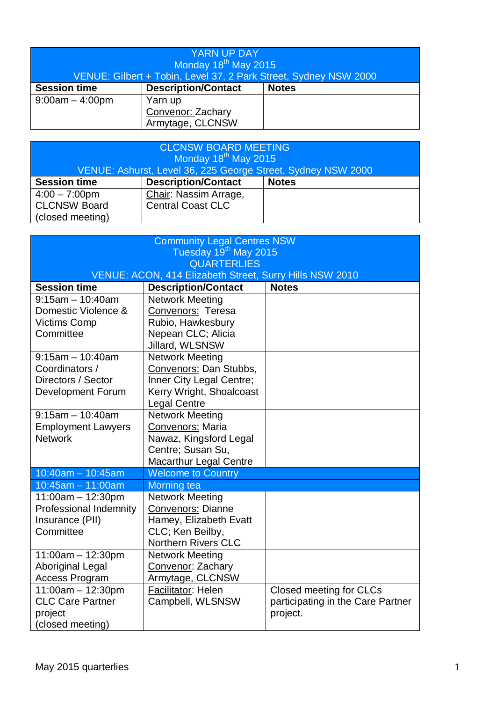| <b>YARN UP DAY</b><br>Monday 18 <sup>th</sup> May 2015<br>VENUE: Gilbert + Tobin, Level 37, 2 Park Street, Sydney NSW 2000 |                            |              |
|----------------------------------------------------------------------------------------------------------------------------|----------------------------|--------------|
| <b>Session time</b>                                                                                                        | <b>Description/Contact</b> | <b>Notes</b> |
| $9:00am - 4:00pm$                                                                                                          | Yarn up                    |              |
|                                                                                                                            | Convenor: Zachary          |              |
|                                                                                                                            | Armytage, CLCNSW           |              |

| <b>CLCNSW BOARD MEETING</b><br>Monday 18 <sup>th</sup> May 2015<br>VENUE: Ashurst, Level 36, 225 George Street, Sydney NSW 2000 |                            |              |
|---------------------------------------------------------------------------------------------------------------------------------|----------------------------|--------------|
| <b>Session time</b>                                                                                                             | <b>Description/Contact</b> | <b>Notes</b> |
| $4:00 - 7:00$ pm                                                                                                                | Chair: Nassim Arrage,      |              |
| <b>CLCNSW Board</b>                                                                                                             | <b>Central Coast CLC</b>   |              |
| (closed meeting)                                                                                                                |                            |              |

| <b>Community Legal Centres NSW</b> |                                                                                                       |                                   |  |
|------------------------------------|-------------------------------------------------------------------------------------------------------|-----------------------------------|--|
| Tuesday 19 <sup>th</sup> May 2015  |                                                                                                       |                                   |  |
| <b>QUARTERLIES</b>                 |                                                                                                       |                                   |  |
| <b>Session time</b>                | VENUE: ACON, 414 Elizabeth Street, Surry Hills NSW 2010<br><b>Description/Contact</b><br><b>Notes</b> |                                   |  |
| $9:15am - 10:40am$                 | <b>Network Meeting</b>                                                                                |                                   |  |
| Domestic Violence &                | Convenors: Teresa                                                                                     |                                   |  |
| <b>Victims Comp</b>                | Rubio, Hawkesbury                                                                                     |                                   |  |
| Committee                          | Nepean CLC; Alicia                                                                                    |                                   |  |
|                                    | Jillard, WLSNSW                                                                                       |                                   |  |
| $9:15am - 10:40am$                 | <b>Network Meeting</b>                                                                                |                                   |  |
| Coordinators /                     | Convenors: Dan Stubbs,                                                                                |                                   |  |
| Directors / Sector                 | Inner City Legal Centre;                                                                              |                                   |  |
| <b>Development Forum</b>           | Kerry Wright, Shoalcoast                                                                              |                                   |  |
|                                    | <b>Legal Centre</b>                                                                                   |                                   |  |
| $9:15$ am - 10:40am                | <b>Network Meeting</b>                                                                                |                                   |  |
| <b>Employment Lawyers</b>          | Convenors: Maria                                                                                      |                                   |  |
| <b>Network</b>                     | Nawaz, Kingsford Legal                                                                                |                                   |  |
|                                    | Centre; Susan Su,                                                                                     |                                   |  |
|                                    | <b>Macarthur Legal Centre</b>                                                                         |                                   |  |
| $10:40$ am - 10:45am               | <b>Welcome to Country</b>                                                                             |                                   |  |
| $10:45am - 11:00am$                | <b>Morning tea</b>                                                                                    |                                   |  |
| $11:00am - 12:30pm$                | <b>Network Meeting</b>                                                                                |                                   |  |
| <b>Professional Indemnity</b>      | <b>Convenors: Dianne</b>                                                                              |                                   |  |
| Insurance (PII)                    | Hamey, Elizabeth Evatt                                                                                |                                   |  |
| Committee                          | CLC; Ken Beilby,                                                                                      |                                   |  |
|                                    | <b>Northern Rivers CLC</b>                                                                            |                                   |  |
| $11:00am - 12:30pm$                | <b>Network Meeting</b>                                                                                |                                   |  |
| Aboriginal Legal                   | Convenor: Zachary                                                                                     |                                   |  |
| <b>Access Program</b>              | Armytage, CLCNSW                                                                                      |                                   |  |
| $11:00am - 12:30pm$                | Facilitator: Helen                                                                                    | Closed meeting for CLCs           |  |
| <b>CLC Care Partner</b>            | Campbell, WLSNSW                                                                                      | participating in the Care Partner |  |
| project                            |                                                                                                       | project.                          |  |
| (closed meeting)                   |                                                                                                       |                                   |  |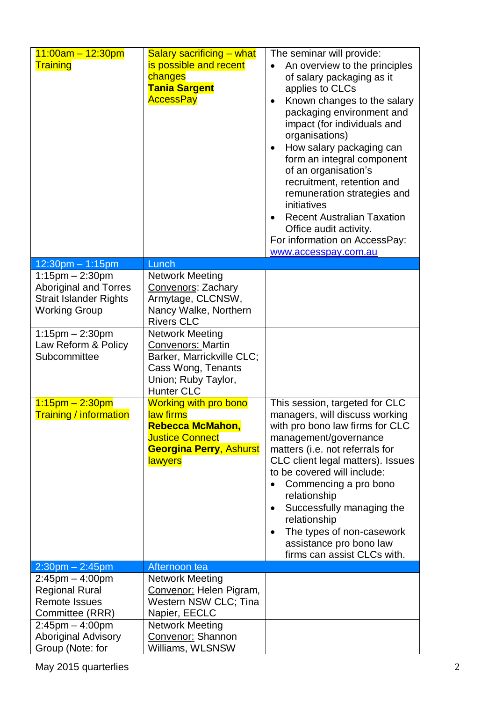| $11:00am - 12:30pm$<br>Training                                                                                                         | <b>Salary sacrificing – what</b><br>is possible and recent<br>changes<br><b>Tania Sargent</b><br><b>AccessPay</b>                           | The seminar will provide:<br>An overview to the principles<br>$\bullet$<br>of salary packaging as it<br>applies to CLCs<br>Known changes to the salary<br>$\bullet$<br>packaging environment and<br>impact (for individuals and<br>organisations)<br>How salary packaging can<br>$\bullet$<br>form an integral component<br>of an organisation's<br>recruitment, retention and<br>remuneration strategies and<br>initiatives<br><b>Recent Australian Taxation</b><br>$\bullet$<br>Office audit activity.<br>For information on AccessPay:<br>www.accesspay.com.au |
|-----------------------------------------------------------------------------------------------------------------------------------------|---------------------------------------------------------------------------------------------------------------------------------------------|-------------------------------------------------------------------------------------------------------------------------------------------------------------------------------------------------------------------------------------------------------------------------------------------------------------------------------------------------------------------------------------------------------------------------------------------------------------------------------------------------------------------------------------------------------------------|
| 12:30pm - 1:15pm                                                                                                                        | Lunch                                                                                                                                       |                                                                                                                                                                                                                                                                                                                                                                                                                                                                                                                                                                   |
| $1:15$ pm $- 2:30$ pm<br><b>Aboriginal and Torres</b><br><b>Strait Islander Rights</b><br><b>Working Group</b><br>$1:15$ pm $- 2:30$ pm | <b>Network Meeting</b><br>Convenors: Zachary<br>Armytage, CLCNSW,<br>Nancy Walke, Northern<br><b>Rivers CLC</b><br><b>Network Meeting</b>   |                                                                                                                                                                                                                                                                                                                                                                                                                                                                                                                                                                   |
| Law Reform & Policy<br>Subcommittee                                                                                                     | Convenors: Martin<br>Barker, Marrickville CLC;<br>Cass Wong, Tenants<br>Union; Ruby Taylor,<br><b>Hunter CLC</b>                            |                                                                                                                                                                                                                                                                                                                                                                                                                                                                                                                                                                   |
| $1:15$ pm – 2:30pm<br><b>Training / information</b>                                                                                     | <b>Working with pro bono</b><br>law firms<br>Rebecca McMahon,<br><b>Justice Connect</b><br><b>Georgina Perry, Ashurst</b><br><b>lawyers</b> | This session, targeted for CLC<br>managers, will discuss working<br>with pro bono law firms for CLC<br>management/governance<br>matters (i.e. not referrals for<br>CLC client legal matters). Issues<br>to be covered will include:<br>Commencing a pro bono<br>relationship<br>Successfully managing the<br>$\bullet$<br>relationship<br>The types of non-casework<br>$\bullet$<br>assistance pro bono law<br>firms can assist CLCs with.                                                                                                                        |
| $2:30$ pm $- 2:45$ pm                                                                                                                   | Afternoon tea                                                                                                                               |                                                                                                                                                                                                                                                                                                                                                                                                                                                                                                                                                                   |
| $2:45$ pm $-4:00$ pm<br><b>Regional Rural</b><br><b>Remote Issues</b><br>Committee (RRR)                                                | <b>Network Meeting</b><br>Convenor: Helen Pigram,<br>Western NSW CLC; Tina<br>Napier, EECLC                                                 |                                                                                                                                                                                                                                                                                                                                                                                                                                                                                                                                                                   |
| $2:45$ pm $-4:00$ pm<br><b>Aboriginal Advisory</b><br>Group (Note: for                                                                  | <b>Network Meeting</b><br>Convenor: Shannon<br>Williams, WLSNSW                                                                             |                                                                                                                                                                                                                                                                                                                                                                                                                                                                                                                                                                   |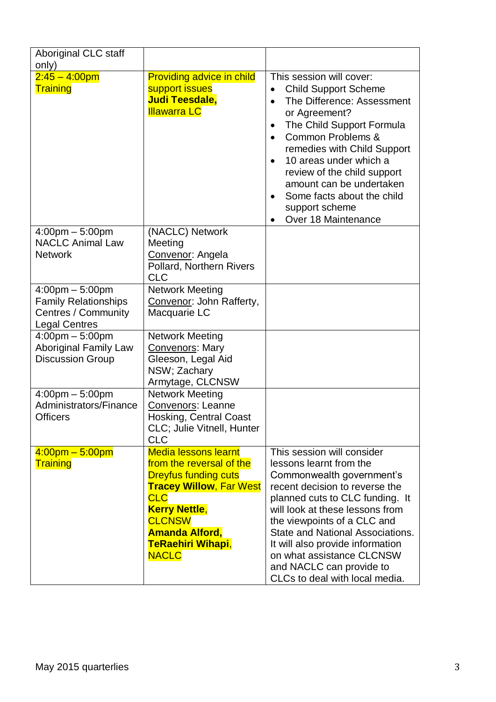| Aboriginal CLC staff                                                                                            |                                                                                                                                                                                                                                                      |                                                                                                                                                                                                                                                                                                                                                                                                                                   |
|-----------------------------------------------------------------------------------------------------------------|------------------------------------------------------------------------------------------------------------------------------------------------------------------------------------------------------------------------------------------------------|-----------------------------------------------------------------------------------------------------------------------------------------------------------------------------------------------------------------------------------------------------------------------------------------------------------------------------------------------------------------------------------------------------------------------------------|
| only)<br>$2:45 - 4:00$ pm<br>Training                                                                           | <b>Providing advice in child</b><br>support issues<br><b>Judi Teesdale,</b><br><b>Illawarra LC</b>                                                                                                                                                   | This session will cover:<br><b>Child Support Scheme</b><br>$\bullet$<br>The Difference: Assessment<br>$\bullet$<br>or Agreement?<br>The Child Support Formula<br>$\bullet$<br>Common Problems &<br>$\bullet$<br>remedies with Child Support<br>10 areas under which a<br>$\bullet$<br>review of the child support<br>amount can be undertaken<br>Some facts about the child<br>support scheme<br>Over 18 Maintenance<br>$\bullet$ |
| $4:00 \text{pm} - 5:00 \text{pm}$<br><b>NACLC Animal Law</b><br><b>Network</b>                                  | (NACLC) Network<br>Meeting<br>Convenor: Angela<br>Pollard, Northern Rivers<br><b>CLC</b>                                                                                                                                                             |                                                                                                                                                                                                                                                                                                                                                                                                                                   |
| $4:00 \text{pm} - 5:00 \text{pm}$<br><b>Family Relationships</b><br>Centres / Community<br><b>Legal Centres</b> | <b>Network Meeting</b><br>Convenor: John Rafferty,<br>Macquarie LC                                                                                                                                                                                   |                                                                                                                                                                                                                                                                                                                                                                                                                                   |
| $4:00 \text{pm} - 5:00 \text{pm}$<br><b>Aboriginal Family Law</b><br><b>Discussion Group</b>                    | <b>Network Meeting</b><br><b>Convenors: Mary</b><br>Gleeson, Legal Aid<br>NSW; Zachary<br>Armytage, CLCNSW                                                                                                                                           |                                                                                                                                                                                                                                                                                                                                                                                                                                   |
| $4:00 \text{pm} - 5:00 \text{pm}$<br>Administrators/Finance<br><b>Officers</b>                                  | <b>Network Meeting</b><br><b>Convenors: Leanne</b><br><b>Hosking, Central Coast</b><br>CLC; Julie Vitnell, Hunter<br><b>CLC</b>                                                                                                                      |                                                                                                                                                                                                                                                                                                                                                                                                                                   |
| $4:00 \text{pm} - 5:00 \text{pm}$<br><b>Training</b>                                                            | <b>Media lessons learnt</b><br>from the reversal of the<br><b>Dreyfus funding cuts</b><br><b>Tracey Willow, Far West</b><br><b>CLC</b><br><b>Kerry Nettle,</b><br><b>CLCNSW</b><br><b>Amanda Alford,</b><br><b>TeRaehiri Wihapi,</b><br><b>NACLC</b> | This session will consider<br>lessons learnt from the<br>Commonwealth government's<br>recent decision to reverse the<br>planned cuts to CLC funding. It<br>will look at these lessons from<br>the viewpoints of a CLC and<br>State and National Associations.<br>It will also provide information<br>on what assistance CLCNSW<br>and NACLC can provide to<br>CLCs to deal with local media.                                      |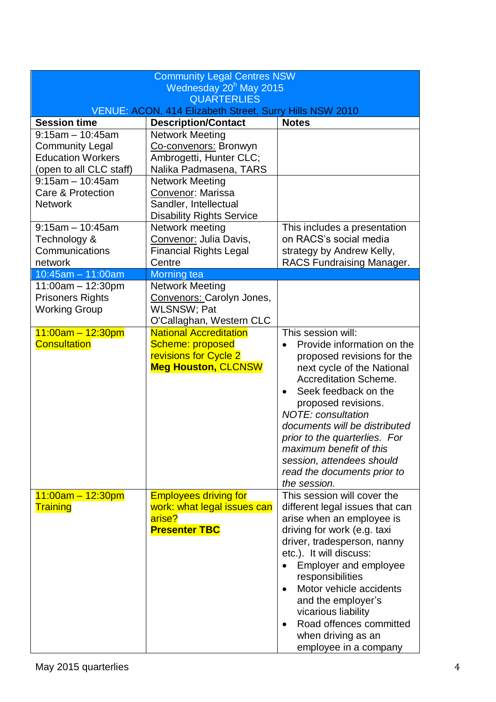| <b>Community Legal Centres NSW</b>                                                                   |                                                                                                          |                                                                                                                                                                                                                                                                                                                                                                                                                |  |
|------------------------------------------------------------------------------------------------------|----------------------------------------------------------------------------------------------------------|----------------------------------------------------------------------------------------------------------------------------------------------------------------------------------------------------------------------------------------------------------------------------------------------------------------------------------------------------------------------------------------------------------------|--|
| Wednesday 20 <sup>h</sup> May 2015<br><b>QUARTERLIES</b>                                             |                                                                                                          |                                                                                                                                                                                                                                                                                                                                                                                                                |  |
| <b>VENUE: ACON, 414 Elizabeth Street, Surry Hills NSW 2010</b>                                       |                                                                                                          |                                                                                                                                                                                                                                                                                                                                                                                                                |  |
| <b>Session time</b>                                                                                  | <b>Description/Contact</b>                                                                               | <b>Notes</b>                                                                                                                                                                                                                                                                                                                                                                                                   |  |
| $9:15$ am - 10:45am<br><b>Community Legal</b><br><b>Education Workers</b><br>(open to all CLC staff) | <b>Network Meeting</b><br>Co-convenors: Bronwyn<br>Ambrogetti, Hunter CLC;<br>Nalika Padmasena, TARS     |                                                                                                                                                                                                                                                                                                                                                                                                                |  |
| $9:15am - 10:45am$<br>Care & Protection<br><b>Network</b>                                            | <b>Network Meeting</b><br>Convenor: Marissa<br>Sandler, Intellectual<br><b>Disability Rights Service</b> |                                                                                                                                                                                                                                                                                                                                                                                                                |  |
| $9:15am - 10:45am$<br>Technology &<br>Communications<br>network                                      | Network meeting<br>Convenor: Julia Davis,<br><b>Financial Rights Legal</b><br>Centre                     | This includes a presentation<br>on RACS's social media<br>strategy by Andrew Kelly,<br>RACS Fundraising Manager.                                                                                                                                                                                                                                                                                               |  |
| $10:45am - 11:00am$                                                                                  | <b>Morning</b> tea                                                                                       |                                                                                                                                                                                                                                                                                                                                                                                                                |  |
| $11:00am - 12:30pm$<br><b>Prisoners Rights</b><br><b>Working Group</b>                               | <b>Network Meeting</b><br>Convenors: Carolyn Jones,<br><b>WLSNSW</b> ; Pat<br>O'Callaghan, Western CLC   |                                                                                                                                                                                                                                                                                                                                                                                                                |  |
| $11:00am - 12:30pm$<br><b>Consultation</b>                                                           | <b>National Accreditation</b><br>Scheme: proposed<br>revisions for Cycle 2<br><b>Meg Houston, CLCNSW</b> | This session will:<br>Provide information on the<br>proposed revisions for the<br>next cycle of the National<br><b>Accreditation Scheme.</b><br>Seek feedback on the<br>$\bullet$<br>proposed revisions.<br><b>NOTE:</b> consultation<br>documents will be distributed<br>prior to the quarterlies. For<br>maximum benefit of this<br>session, attendees should<br>read the documents prior to<br>the session. |  |
| $11:00am - 12:30pm$<br>Training                                                                      | <b>Employees driving for</b><br>work: what legal issues can<br>arise?<br><b>Presenter TBC</b>            | This session will cover the<br>different legal issues that can<br>arise when an employee is<br>driving for work (e.g. taxi<br>driver, tradesperson, nanny<br>etc.). It will discuss:<br><b>Employer and employee</b><br>responsibilities<br>Motor vehicle accidents<br>and the employer's<br>vicarious liability<br>Road offences committed<br>when driving as an<br>employee in a company                     |  |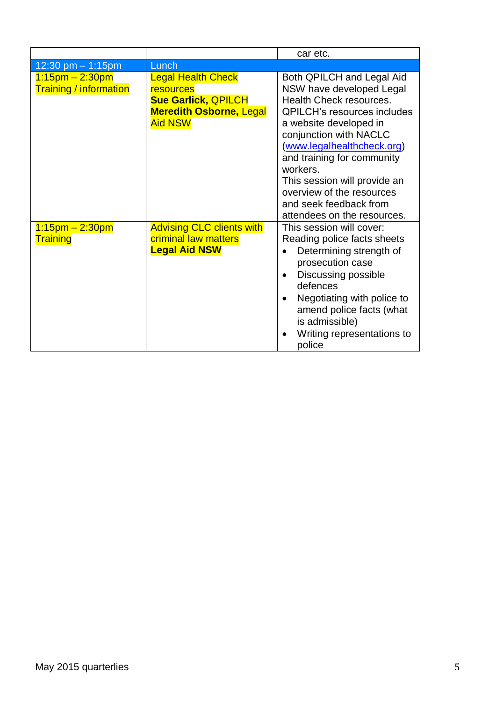|                                                     |                                                                                                                          | car etc.                                                                                                                                                                                                                                                                                                                                                                 |
|-----------------------------------------------------|--------------------------------------------------------------------------------------------------------------------------|--------------------------------------------------------------------------------------------------------------------------------------------------------------------------------------------------------------------------------------------------------------------------------------------------------------------------------------------------------------------------|
| 12:30 pm $-$ 1:15pm                                 | Lunch                                                                                                                    |                                                                                                                                                                                                                                                                                                                                                                          |
| $1:15$ pm – 2:30pm<br><b>Training / information</b> | <b>Legal Health Check</b><br>resources<br><b>Sue Garlick, QPILCH</b><br><b>Meredith Osborne, Legal</b><br><b>Aid NSW</b> | Both QPILCH and Legal Aid<br>NSW have developed Legal<br>Health Check resources.<br><b>QPILCH's resources includes</b><br>a website developed in<br>conjunction with NACLC<br>(www.legalhealthcheck.org)<br>and training for community<br>workers.<br>This session will provide an<br>overview of the resources<br>and seek feedback from<br>attendees on the resources. |
| $1:15$ pm – 2:30pm<br>Training                      | <b>Advising CLC clients with</b><br>criminal law matters<br><b>Legal Aid NSW</b>                                         | This session will cover:<br>Reading police facts sheets<br>Determining strength of<br>prosecution case<br>Discussing possible<br>defences<br>Negotiating with police to<br>amend police facts (what<br>is admissible)<br>Writing representations to<br>police                                                                                                            |